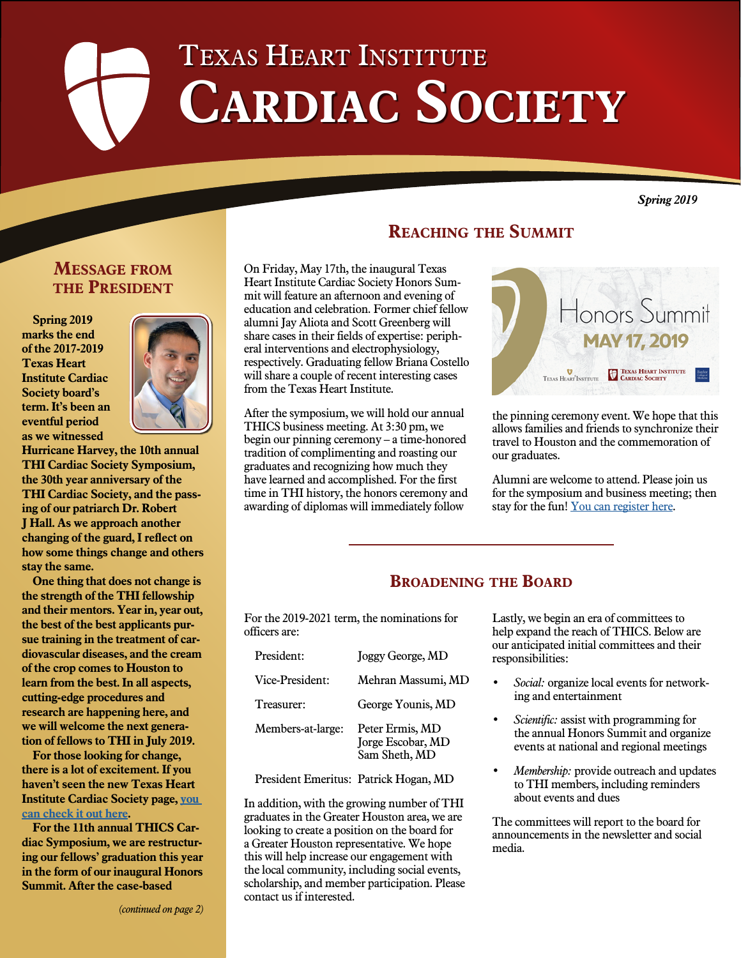# Texas Heart Institute CARDIAC SOCIETY

*Spring 2019*

# **Message from the President**

**Spring 2019 marks the end of the 2017-2019 Texas Heart Institute Cardiac Society board's term. It's been an eventful period as we witnessed** 



**Hurricane Harvey, the 10th annual THI Cardiac Society Symposium, the 30th year anniversary of the THI Cardiac Society, and the passing of our patriarch Dr. Robert J Hall. As we approach another changing of the guard, I reflect on how some things change and others stay the same.**

**One thing that does not change is the strength of the THI fellowship and their mentors. Year in, year out, the best of the best applicants pursue training in the treatment of cardiovascular diseases, and the cream of the crop comes to Houston to learn from the best. In all aspects, cutting-edge procedures and research are happening here, and we will welcome the next generation of fellows to THI in July 2019.** 

**For those looking for change, there is a lot of excitement. If you haven't seen the new Texas Heart Institute Cardiac Society page, [you](https://www.texasheart.org/education/thi-cardiac-society/)  [can check it out here.](https://www.texasheart.org/education/thi-cardiac-society/)** 

**For the 11th annual THICS Cardiac Symposium, we are restructuring our fellows' graduation this year in the form of our inaugural Honors Summit. After the case-based** 

**Reaching the Summit**

On Friday, May 17th, the inaugural Texas Heart Institute Cardiac Society Honors Summit will feature an afternoon and evening of education and celebration. Former chief fellow alumni Jay Aliota and Scott Greenberg will share cases in their fields of expertise: peripheral interventions and electrophysiology, respectively. Graduating fellow Briana Costello will share a couple of recent interesting cases from the Texas Heart Institute.

After the symposium, we will hold our annual THICS business meeting. At 3:30 pm, we begin our pinning ceremony – a time-honored tradition of complimenting and roasting our graduates and recognizing how much they have learned and accomplished. For the first time in THI history, the honors ceremony and awarding of diplomas will immediately follow



the pinning ceremony event. We hope that this allows families and friends to synchronize their travel to Houston and the commemoration of our graduates.

Alumni are welcome to attend. Please join us for the symposium and business meeting; then stay for the fun! [You can register here](https://cmetracker.net/THICME/Login?formname=RegLoginLive&eventid=8868).

# **Broadening the Board**

For the 2019-2021 term, the nominations for officers are:

| President:        | Joggy George, MD                                      |
|-------------------|-------------------------------------------------------|
| Vice-President:   | Mehran Massumi, MD                                    |
| Treasurer:        | George Younis, MD                                     |
| Members-at-large: | Peter Ermis, MD<br>Jorge Escobar, MD<br>Sam Sheth, MD |

President Emeritus: Patrick Hogan, MD

In addition, with the growing number of THI graduates in the Greater Houston area, we are looking to create a position on the board for a Greater Houston representative. We hope this will help increase our engagement with the local community, including social events, scholarship, and member participation. Please contact us if interested.

Lastly, we begin an era of committees to help expand the reach of THICS. Below are our anticipated initial committees and their responsibilities:

- *• Social:* organize local events for networking and entertainment
- *• Scientific:* assist with programming for the annual Honors Summit and organize events at national and regional meetings
- *• Membership:* provide outreach and updates to THI members, including reminders about events and dues

The committees will report to the board for announcements in the newsletter and social media.

*(continued on page 2)*